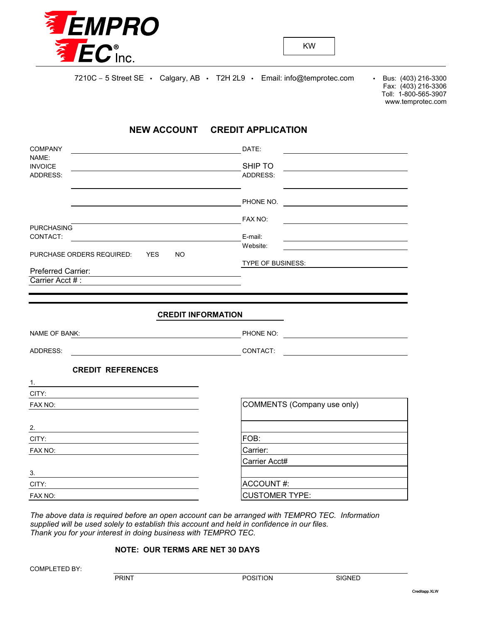

Fax: (403) 216-3306 Toll: 1-800-565-3907 www.temprotec.com

## **NEW ACCOUNT CREDIT APPLICATION**

| <b>COMPANY</b>                                                      | DATE:                                                     |
|---------------------------------------------------------------------|-----------------------------------------------------------|
| NAME:<br><b>INVOICE</b>                                             | SHIP TO                                                   |
| ADDRESS:                                                            | ADDRESS:                                                  |
|                                                                     | PHONE NO.                                                 |
|                                                                     | FAX NO:                                                   |
| <b>PURCHASING</b>                                                   |                                                           |
| CONTACT:<br><u> 1989 - Johann Barbara, martxa alemaniar a</u>       | E-mail:                                                   |
| PURCHASE ORDERS REQUIRED: YES<br><b>NO</b>                          | Website:                                                  |
|                                                                     | TYPE OF BUSINESS:                                         |
| Preferred Carrier:                                                  |                                                           |
| Carrier Acct #:                                                     |                                                           |
| <b>NAME OF BANK:</b>                                                | PHONE NO:                                                 |
| ADDRESS:<br><u> 1980 - Johann Barbara, martin amerikan basal da</u> | CONTACT:<br><u> 1980 - Andrea Andrew Maria (h. 1980).</u> |
| <b>CREDIT REFERENCES</b><br>1.                                      |                                                           |
| CITY:                                                               |                                                           |
| FAX NO:                                                             | COMMENTS (Company use only)                               |
| 2.                                                                  |                                                           |
| CITY:                                                               | FOB:                                                      |
| FAX NO:                                                             | Carrier:                                                  |
|                                                                     | Carrier Acct#                                             |
| 3.                                                                  |                                                           |
| CITY:                                                               | ACCOUNT#:                                                 |
| FAX NO:                                                             | <b>CUSTOMER TYPE:</b>                                     |

*The above data is required before an open account can be arranged with TEMPRO TEC. Information supplied will be used solely to establish this account and held in confidence in our files. Thank you for your interest in doing business with TEMPRO TEC.*

## **NOTE: OUR TERMS ARE NET 30 DAYS**

COMPLETED BY: